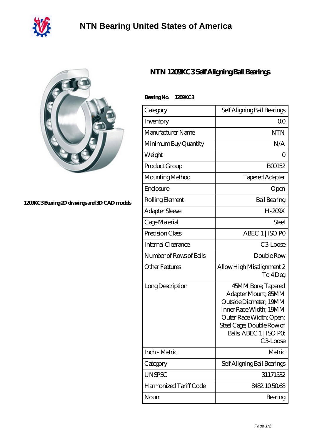

## **[NTN Bearing United States of America](https://m.40ozbounce-tube.net)**



## **[1209KC3 Bearing 2D drawings and 3D CAD models](https://m.40ozbounce-tube.net/pic-266867.html)**

## **[NTN 1209KC3 Self Aligning Ball Bearings](https://m.40ozbounce-tube.net/af-266867-ntn-1209kc3-self-aligning-ball-bearings.html)**

| Category                  | Self Aligning Ball Bearings                                                                                                                                                                 |
|---------------------------|---------------------------------------------------------------------------------------------------------------------------------------------------------------------------------------------|
| Inventory                 | Q0                                                                                                                                                                                          |
| Manufacturer Name         | <b>NTN</b>                                                                                                                                                                                  |
| Minimum Buy Quantity      | N/A                                                                                                                                                                                         |
| Weight                    | Ω                                                                                                                                                                                           |
| Product Group             | BO0152                                                                                                                                                                                      |
| Mounting Method           | <b>Tapered Adapter</b>                                                                                                                                                                      |
| Enclosure                 | Open                                                                                                                                                                                        |
| Rolling Element           | <b>Ball Bearing</b>                                                                                                                                                                         |
| <b>Adapter Sleeve</b>     | $H - 200X$                                                                                                                                                                                  |
| Cage Material             | Steel                                                                                                                                                                                       |
| Precision Class           | ABEC 1   ISO PO                                                                                                                                                                             |
| <b>Internal Clearance</b> | C3Loose                                                                                                                                                                                     |
| Number of Rows of Balls   | Double Row                                                                                                                                                                                  |
| <b>Other Features</b>     | Allow High Misalignment 2<br>To 4Deg                                                                                                                                                        |
| Long Description          | 45MM Bore; Tapered<br>Adapter Mount; 85MM<br>Outside Diameter; 19MM<br>Inner Race Width; 19MM<br>Outer Race Width; Open;<br>Steel Cage; Double Row of<br>Balls; ABEC 1   ISO PO<br>C3-Loose |
| Inch - Metric             | Metric                                                                                                                                                                                      |
| Category                  | Self Aligning Ball Bearings                                                                                                                                                                 |
| <b>UNSPSC</b>             | 31171532                                                                                                                                                                                    |
| Harmonized Tariff Code    | 8482105068                                                                                                                                                                                  |
| Noun                      | Bearing                                                                                                                                                                                     |